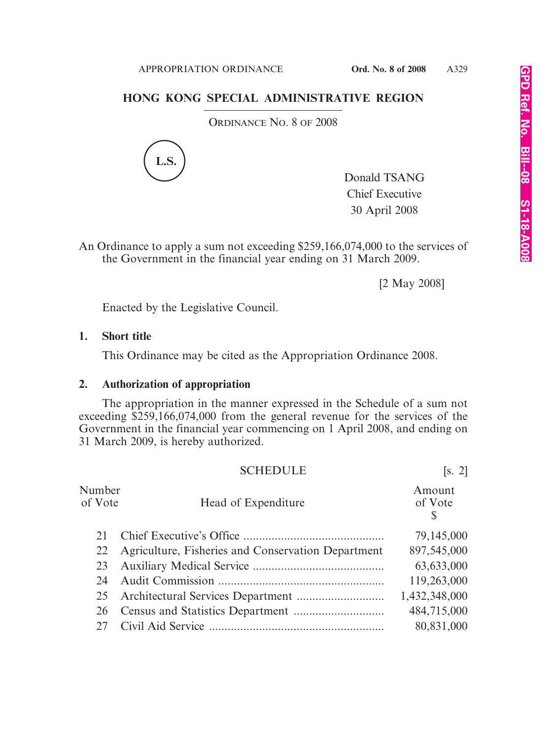## **HONG KONG SPECIAL ADMINISTRATIVE REGION**

ORDINANCE NO. 8 OF 2008



Donald TSANG Chief Executive 30 April 2008

An Ordinance to apply a sum not exceeding \$259,166,074,000 to the services of the Government in the financial year ending on 31 March 2009.

[2 May 2008]

Enacted by the Legislative Council.

## **1. Short title**

This Ordinance may be cited as the Appropriation Ordinance 2008.

## **2. Authorization of appropriation**

The appropriation in the manner expressed in the Schedule of a sum not exceeding \$259,166,074,000 from the general revenue for the services of the Government in the financial year commencing on 1 April 2008, and ending on 31 March 2009, is hereby authorized.

|                   | <b>SCHEDULE</b>                                    | [s, 2]                 |
|-------------------|----------------------------------------------------|------------------------|
| Number<br>of Vote | Head of Expenditure                                | Amount<br>of Vote<br>S |
|                   |                                                    | 79,145,000             |
| 22                | Agriculture, Fisheries and Conservation Department | 897,545,000            |
| 23                |                                                    | 63,633,000             |
| 24                |                                                    | 119,263,000            |
| 25                |                                                    | 1,432,348,000          |
| 26                |                                                    | 484,715,000            |
|                   |                                                    | 80,831,000             |
|                   |                                                    |                        |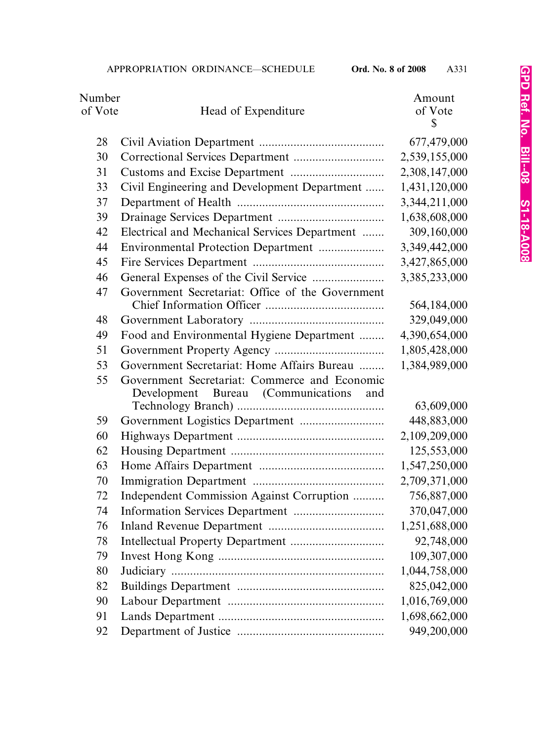| Number<br>of Vote | Head of Expenditure                                                                        | Amount<br>of Vote<br>\$ |
|-------------------|--------------------------------------------------------------------------------------------|-------------------------|
| 28                |                                                                                            | 677,479,000             |
| 30                |                                                                                            | 2,539,155,000           |
| 31                |                                                                                            | 2,308,147,000           |
| 33                | Civil Engineering and Development Department                                               | 1,431,120,000           |
| 37                |                                                                                            | 3,344,211,000           |
| 39                |                                                                                            | 1,638,608,000           |
| 42                | Electrical and Mechanical Services Department                                              | 309,160,000             |
| 44                | Environmental Protection Department                                                        | 3,349,442,000           |
| 45                |                                                                                            | 3,427,865,000           |
| 46                |                                                                                            | 3,385,233,000           |
| 47                | Government Secretariat: Office of the Government                                           |                         |
|                   |                                                                                            | 564,184,000             |
| 48                |                                                                                            | 329,049,000             |
| 49                | Food and Environmental Hygiene Department                                                  | 4,390,654,000           |
| 51                |                                                                                            | 1,805,428,000           |
| 53                | Government Secretariat: Home Affairs Bureau                                                | 1,384,989,000           |
| 55                | Government Secretariat: Commerce and Economic<br>Development Bureau (Communications<br>and |                         |
|                   |                                                                                            | 63,609,000              |
| 59                |                                                                                            | 448,883,000             |
| 60                |                                                                                            | 2,109,209,000           |
| 62                |                                                                                            | 125,553,000             |
| 63                |                                                                                            | 1,547,250,000           |
| 70                |                                                                                            | 2,709,371,000           |
| 72                | Independent Commission Against Corruption                                                  | 756,887,000             |
| 74                |                                                                                            | 370,047,000             |
| 76                |                                                                                            | 1,251,688,000           |
| 78                |                                                                                            | 92,748,000              |
| 79                |                                                                                            | 109,307,000             |
| 80                |                                                                                            | 1,044,758,000           |
| 82                |                                                                                            | 825,042,000             |
| 90                |                                                                                            | 1,016,769,000           |
| 91                |                                                                                            | 1,698,662,000           |
| 92                |                                                                                            | 949,200,000             |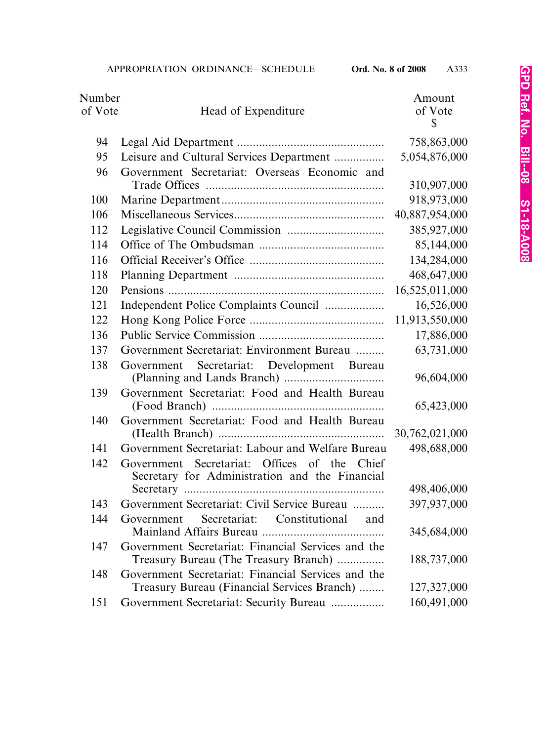| Number  |                                                                                                   | Amount         |
|---------|---------------------------------------------------------------------------------------------------|----------------|
| of Vote | Head of Expenditure                                                                               | of Vote        |
|         |                                                                                                   | \$             |
| 94      |                                                                                                   | 758,863,000    |
| 95      | Leisure and Cultural Services Department                                                          | 5,054,876,000  |
| 96      | Government Secretariat: Overseas Economic and                                                     |                |
|         |                                                                                                   | 310,907,000    |
| 100     |                                                                                                   | 918,973,000    |
| 106     |                                                                                                   | 40,887,954,000 |
| 112     |                                                                                                   | 385,927,000    |
| 114     |                                                                                                   | 85,144,000     |
| 116     |                                                                                                   | 134,284,000    |
| 118     |                                                                                                   | 468,647,000    |
| 120     |                                                                                                   | 16,525,011,000 |
| 121     | Independent Police Complaints Council                                                             | 16,526,000     |
| 122     |                                                                                                   | 11,913,550,000 |
| 136     |                                                                                                   | 17,886,000     |
| 137     | Government Secretariat: Environment Bureau                                                        | 63,731,000     |
| 138     | Secretariat: Development Bureau<br>Government                                                     | 96,604,000     |
| 139     | Government Secretariat: Food and Health Bureau                                                    | 65,423,000     |
| 140     | Government Secretariat: Food and Health Bureau                                                    |                |
|         |                                                                                                   | 30,762,021,000 |
| 141     | Government Secretariat: Labour and Welfare Bureau                                                 | 498,688,000    |
| 142     | Government Secretariat: Offices of the Chief<br>Secretary for Administration and the Financial    |                |
|         |                                                                                                   | 498,406,000    |
| 143     | Government Secretariat: Civil Service Bureau                                                      | 397,937,000    |
| 144     | Secretariat: Constitutional<br>Government<br>and                                                  | 345,684,000    |
| 147     | Government Secretariat: Financial Services and the<br>Treasury Bureau (The Treasury Branch)       | 188,737,000    |
| 148     | Government Secretariat: Financial Services and the<br>Treasury Bureau (Financial Services Branch) | 127,327,000    |
| 151     |                                                                                                   | 160,491,000    |
|         | Government Secretariat: Security Bureau                                                           |                |